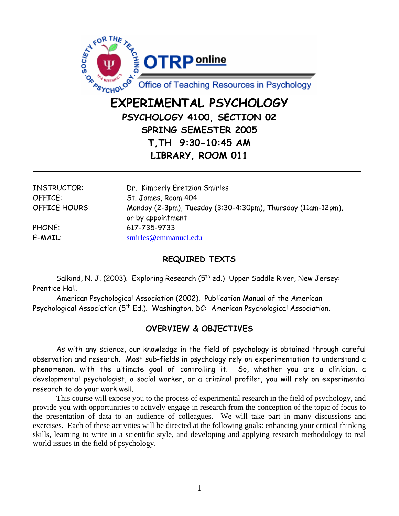

# **EXPERIMENTAL PSYCHOLOGY PSYCHOLOGY 4100, SECTION 02 SPRING SEMESTER 2005 T,TH 9:30-10:45 AM LIBRARY, ROOM 011**

| INSTRUCTOR:          | Dr. Kimberly Eretzian Smirles                                |
|----------------------|--------------------------------------------------------------|
| OFFICE:              | St. James, Room 404                                          |
| <b>OFFICE HOURS:</b> | Monday (2-3pm), Tuesday (3:30-4:30pm), Thursday (11am-12pm), |
|                      | or by appointment                                            |
| PHONE:               | 617-735-9733                                                 |
| E-MAIL:              | smirles@emmanuel.edu                                         |

# **REQUIRED TEXTS**

Salkind, N. J. (2003). Exploring Research (5<sup>th</sup> ed.) Upper Saddle River, New Jersey: Prentice Hall.

American Psychological Association (2002). Publication Manual of the American Psychological Association (5<sup>th</sup> Ed.). Washington, DC: American Psychological Association.

# **OVERVIEW & OBJECTIVES**

 As with any science, our knowledge in the field of psychology is obtained through careful observation and research. Most sub-fields in psychology rely on experimentation to understand a phenomenon, with the ultimate goal of controlling it. So, whether you are a clinician, a developmental psychologist, a social worker, or a criminal profiler, you will rely on experimental research to do your work well.

This course will expose you to the process of experimental research in the field of psychology, and provide you with opportunities to actively engage in research from the conception of the topic of focus to the presentation of data to an audience of colleagues. We will take part in many discussions and exercises. Each of these activities will be directed at the following goals: enhancing your critical thinking skills, learning to write in a scientific style, and developing and applying research methodology to real world issues in the field of psychology.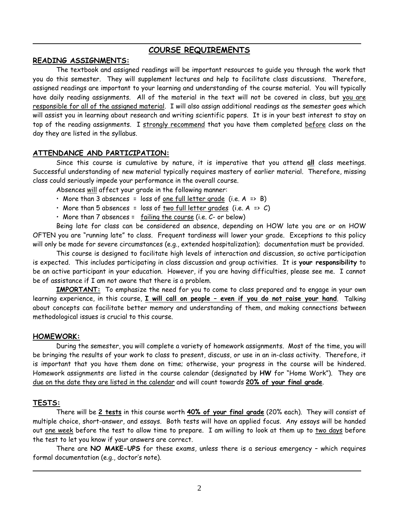### **COURSE REQUIREMENTS**

#### **READING ASSIGNMENTS:**

 The textbook and assigned readings will be important resources to guide you through the work that you do this semester. They will supplement lectures and help to facilitate class discussions. Therefore, assigned readings are important to your learning and understanding of the course material. You will typically have daily reading assignments. All of the material in the text will not be covered in class, but you are responsible for all of the assigned material. I will also assign additional readings as the semester goes which will assist you in learning about research and writing scientific papers. It is in your best interest to stay on top of the reading assignments. I strongly recommend that you have them completed before class on the day they are listed in the syllabus.

#### **ATTENDANCE AND PARTICIPATION:**

 Since this course is cumulative by nature, it is imperative that you attend **all** class meetings. Successful understanding of new material typically requires mastery of earlier material. Therefore, missing class could seriously impede your performance in the overall course.

Absences will affect your grade in the following manner:

- More than 3 absences = loss of one full letter grade (i.e.  $A \Rightarrow B$ )
- More than 5 absences = loss of two full letter grades (i.e.  $A \Rightarrow C$ )
- More than 7 absences = failing the course (i.e. C- or below)

 Being late for class can be considered an absence, depending on HOW late you are or on HOW OFTEN you are "running late" to class. Frequent tardiness will lower your grade. Exceptions to this policy will only be made for severe circumstances (e.g., extended hospitalization); documentation must be provided.

 This course is designed to facilitate high levels of interaction and discussion, so active participation is expected. This includes participating in class discussion and group activities. It is **your responsibility** to be an active participant in your education. However, if you are having difficulties, please see me. I cannot be of assistance if I am not aware that there is a problem.

**IMPORTANT:** To emphasize the need for you to come to class prepared and to engage in your own learning experience, in this course, **I will call on people – even if you do not raise your hand**. Talking about concepts can facilitate better memory and understanding of them, and making connections between methodological issues is crucial to this course.

#### **HOMEWORK:**

 During the semester, you will complete a variety of homework assignments. Most of the time, you will be bringing the results of your work to class to present, discuss, or use in an in-class activity. Therefore, it is important that you have them done on time; otherwise, your progress in the course will be hindered. Homework assignments are listed in the course calendar (designated by **HW** for "Home Work"). They are due on the date they are listed in the calendar and will count towards **20% of your final grade**.

#### **TESTS:**

 There will be **2 tests** in this course worth **40% of your final grade** (20% each). They will consist of multiple choice, short-answer, and essays. Both tests will have an applied focus. Any essays will be handed out one week before the test to allow time to prepare. I am willing to look at them up to two days before the test to let you know if your answers are correct.

There are **NO MAKE-UPS** for these exams, unless there is a serious emergency – which requires formal documentation (e.g., doctor's note).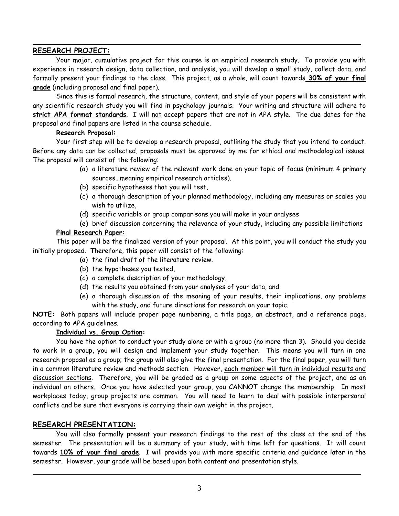#### **RESEARCH PROJECT:**

 Your major, cumulative project for this course is an empirical research study. To provide you with experience in research design, data collection, and analysis, you will develop a small study, collect data, and formally present your findings to the class. This project, as a whole, will count towards **30% of your final grade** (including proposal and final paper).

Since this is formal research, the structure, content, and style of your papers will be consistent with any scientific research study you will find in psychology journals. Your writing and structure will adhere to **strict APA format standards**. I will not accept papers that are not in APA style. The due dates for the proposal and final papers are listed in the course schedule.

#### **Research Proposal:**

 Your first step will be to develop a research proposal, outlining the study that you intend to conduct. Before any data can be collected, proposals must be approved by me for ethical and methodological issues. The proposal will consist of the following:

- (a) a literature review of the relevant work done on your topic of focus (minimum 4 primary sources…meaning empirical research articles),
- (b) specific hypotheses that you will test,
- (c) a thorough description of your planned methodology, including any measures or scales you wish to utilize,
- (d) specific variable or group comparisons you will make in your analyses
- (e) brief discussion concerning the relevance of your study, including any possible limitations

### **Final Research Paper:**

 This paper will be the finalized version of your proposal. At this point, you will conduct the study you initially proposed. Therefore, this paper will consist of the following:

- (a) the final draft of the literature review.
- (b) the hypotheses you tested,
- (c) a complete description of your methodology,
- (d) the results you obtained from your analyses of your data, and
- (e) a thorough discussion of the meaning of your results, their implications, any problems with the study, and future directions for research on your topic.

**NOTE:** Both papers will include proper page numbering, a title page, an abstract, and a reference page, according to APA guidelines.

#### **Individual vs. Group Option:**

You have the option to conduct your study alone or with a group (no more than 3). Should you decide to work in a group, you will design and implement your study together. This means you will turn in one research proposal as a group; the group will also give the final presentation. For the final paper, you will turn in a common literature review and methods section. However, each member will turn in individual results and discussion sections. Therefore, you will be graded as a group on some aspects of the project, and as an individual on others. Once you have selected your group, you CANNOT change the membership. In most workplaces today, group projects are common. You will need to learn to deal with possible interpersonal conflicts and be sure that everyone is carrying their own weight in the project.

## **RESEARCH PRESENTATION:**

You will also formally present your research findings to the rest of the class at the end of the semester. The presentation will be a summary of your study, with time left for questions. It will count towards **10% of your final grade**. I will provide you with more specific criteria and guidance later in the semester. However, your grade will be based upon both content and presentation style.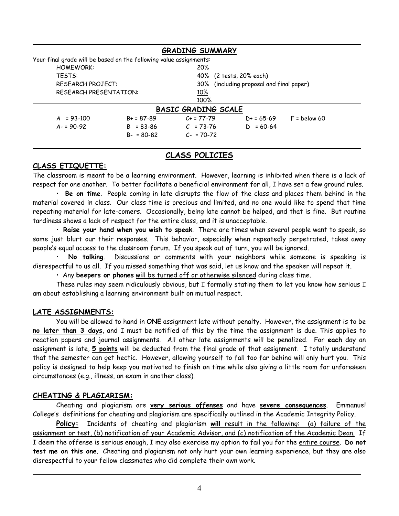|                                                                    | <b>GRADING SUMMARY</b> |                                          |  |  |  |  |
|--------------------------------------------------------------------|------------------------|------------------------------------------|--|--|--|--|
| Your final grade will be based on the following value assignments: |                        |                                          |  |  |  |  |
| <b>HOMEWORK:</b>                                                   | 20%                    |                                          |  |  |  |  |
| <b>TFSTS:</b>                                                      |                        | 40% (2 tests, 20% each)                  |  |  |  |  |
| <b>RESEARCH PROJECT:</b>                                           |                        | 30% (including proposal and final paper) |  |  |  |  |
| RESEARCH PRESENTATION:                                             | 10%                    |                                          |  |  |  |  |
|                                                                    | 100%                   |                                          |  |  |  |  |
| <b>BASIC GRADING SCALE</b>                                         |                        |                                          |  |  |  |  |
| $A = 93-100$<br>$B + 587 - 89$                                     | $C_{+}$ = 77-79        | $F =$ below 60<br>$D+ = 65-69$           |  |  |  |  |
| $A - 590 - 92$<br>$B = 83 - 86$                                    | $C = 73-76$            | $= 60 - 64$<br>D.                        |  |  |  |  |
| $B - 80 - 82$                                                      | $C - 70-72$            |                                          |  |  |  |  |

## **CLASS POLICIES**

#### **CLASS ETIQUETTE:**

The classroom is meant to be a learning environment. However, learning is inhibited when there is a lack of respect for one another. To better facilitate a beneficial environment for all, I have set a few ground rules.

 • **Be on time**. People coming in late disrupts the flow of the class and places them behind in the material covered in class. Our class time is precious and limited, and no one would like to spend that time repeating material for late-comers. Occasionally, being late cannot be helped, and that is fine. But routine tardiness shows a lack of respect for the entire class, and it is unacceptable.

 • **Raise your hand when you wish to speak**. There are times when several people want to speak, so some just blurt our their responses. This behavior, especially when repeatedly perpetrated, takes away people's equal access to the classroom forum. If you speak out of turn, you will be ignored.

 • **No talking**. Discussions or comments with your neighbors while someone is speaking is disrespectful to us all. If you missed something that was said, let us know and the speaker will repeat it.

• Any **beepers or phones** will be turned off or otherwise silenced during class time.

These rules may seem ridiculously obvious, but I formally stating them to let you know how serious I am about establishing a learning environment built on mutual respect.

#### **LATE ASSIGNMENTS:**

 You will be allowed to hand in **ONE** assignment late without penalty. However, the assignment is to be **no later than 3 days**, and I must be notified of this by the time the assignment is due. This applies to reaction papers and journal assignments. All other late assignments will be penalized. For **each** day an assignment is late, **5 points** will be deducted from the final grade of that assignment. I totally understand that the semester can get hectic. However, allowing yourself to fall too far behind will only hurt you. This policy is designed to help keep you motivated to finish on time while also giving a little room for unforeseen circumstances (e.g., illness, an exam in another class).

#### **CHEATING & PLAGIARISM:**

 Cheating and plagiarism are **very serious offenses** and have **severe consequences**. Emmanuel College's definitions for cheating and plagiarism are specifically outlined in the Academic Integrity Policy.

**Policy:** Incidents of cheating and plagiarism **will** result in the following: (a) failure of the assignment or test, (b) notification of your Academic Advisor, and (c) notification of the Academic Dean. If I deem the offense is serious enough, I may also exercise my option to fail you for the entire course. **Do not test me on this one**. Cheating and plagiarism not only hurt your own learning experience, but they are also disrespectful to your fellow classmates who did complete their own work.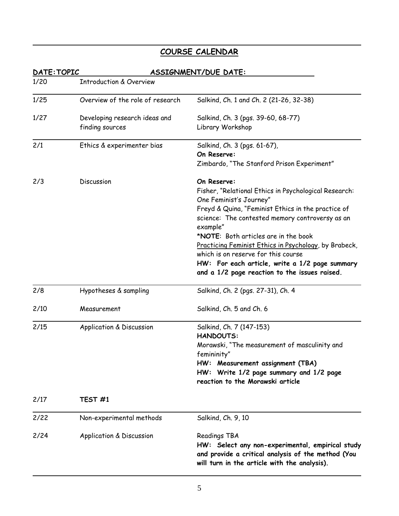# **COURSE CALENDAR**

| DATE: TOPIC<br>ASSIGNMENT/DUE DATE: |                                     |                                                                                                                                                        |  |  |
|-------------------------------------|-------------------------------------|--------------------------------------------------------------------------------------------------------------------------------------------------------|--|--|
| 1/20                                | <b>Introduction &amp; Overview</b>  |                                                                                                                                                        |  |  |
| 1/25                                | Overview of the role of research    | Salkind, Ch. 1 and Ch. 2 (21-26, 32-38)                                                                                                                |  |  |
| 1/27                                | Developing research ideas and       | Salkind, Ch. 3 (pgs. 39-60, 68-77)                                                                                                                     |  |  |
|                                     | finding sources                     | Library Workshop                                                                                                                                       |  |  |
| 2/1                                 | Ethics & experimenter bias          | Salkind, Ch. 3 (pgs. 61-67),                                                                                                                           |  |  |
|                                     |                                     | On Reserve:                                                                                                                                            |  |  |
|                                     |                                     | Zimbardo, "The Stanford Prison Experiment"                                                                                                             |  |  |
| 2/3                                 | Discussion                          | On Reserve:                                                                                                                                            |  |  |
|                                     |                                     | Fisher, "Relational Ethics in Psychological Research:<br>One Feminist's Journey"                                                                       |  |  |
|                                     |                                     | Freyd & Quina, "Feminist Ethics in the practice of                                                                                                     |  |  |
|                                     |                                     | science: The contested memory controversy as an                                                                                                        |  |  |
|                                     |                                     | example"                                                                                                                                               |  |  |
|                                     |                                     | *NOTE: Both articles are in the book                                                                                                                   |  |  |
|                                     |                                     | Practicing Feminist Ethics in Psychology, by Brabeck,                                                                                                  |  |  |
|                                     |                                     | which is on reserve for this course                                                                                                                    |  |  |
|                                     |                                     | HW: For each article, write a 1/2 page summary                                                                                                         |  |  |
|                                     |                                     | and a 1/2 page reaction to the issues raised.                                                                                                          |  |  |
| 2/8                                 | Hypotheses & sampling               | Salkind, Ch. 2 (pgs. 27-31), Ch. 4                                                                                                                     |  |  |
| 2/10                                | Measurement                         | Salkind, Ch. 5 and Ch. 6                                                                                                                               |  |  |
| 2/15                                | <b>Application &amp; Discussion</b> | Salkind, Ch. 7 (147-153)                                                                                                                               |  |  |
|                                     |                                     | <b>HANDOUTS:</b>                                                                                                                                       |  |  |
|                                     |                                     | Morawski, "The measurement of masculinity and<br>femininity"                                                                                           |  |  |
|                                     |                                     | HW: Measurement assignment (TBA)                                                                                                                       |  |  |
|                                     |                                     | HW: Write 1/2 page summary and 1/2 page                                                                                                                |  |  |
|                                     |                                     | reaction to the Morawski article                                                                                                                       |  |  |
| 2/17                                | TEST <sub>#1</sub>                  |                                                                                                                                                        |  |  |
| 2/22                                | Non-experimental methods            | Salkind, Ch. 9, 10                                                                                                                                     |  |  |
| 2/24                                | <b>Application &amp; Discussion</b> | Readings TBA                                                                                                                                           |  |  |
|                                     |                                     | HW: Select any non-experimental, empirical study<br>and provide a critical analysis of the method (You<br>will turn in the article with the analysis). |  |  |